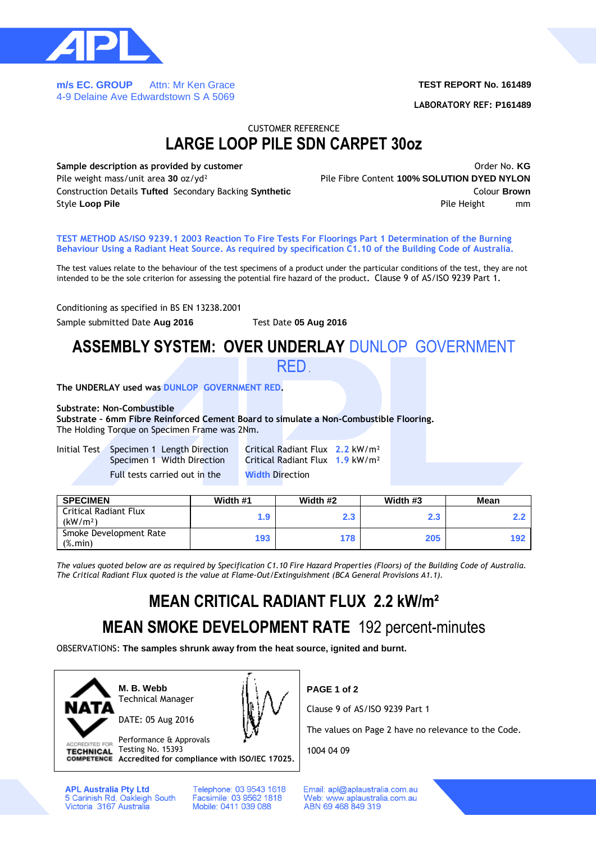

**m/s EC. GROUP** Attn: Mr Ken Grace 4-9 Delaine Ave Edwardstown S A 5069

### **TEST REPORT No. 161489**

**LABORATORY REF: P161489**

### CUSTOMER REFERENCE **LARGE LOOP PILE SDN CARPET 30oz**

**Sample description as provided by customer COVID-1000 COVID-1000 COVID-1000 COVID-1000 COVID-1000 COVID-1000 COVID-1000 COVID-1000 COVID-1000 COVID-1000 COVID-1000 COVID-1000 COVID-1000 COVID-1000 COVID-1000 COVID-1000** Pile weight mass/unit area **30** oz/yd² Pile Fibre Content **100% SOLUTION DYED NYLON** Construction Details **Tufted** Secondary Backing **Synthetic** Colour **Brown** Style Loop Pile **Pile Pile Accord 1999 Pile Height** mm

**TEST METHOD AS/ISO 9239.1 2003 Reaction To Fire Tests For Floorings Part 1 Determination of the Burning Behaviour Using a Radiant Heat Source. As required by specification C1.10 of the Building Code of Australia.**

The test values relate to the behaviour of the test specimens of a product under the particular conditions of the test, they are not intended to be the sole criterion for assessing the potential fire hazard of the product**.** Clause 9 of AS/ISO 9239 Part 1**.**

Conditioning as specified in BS EN 13238.2001

Sample submitted Date **Aug 2016** Test Date **05 Aug 2016**

# **ASSEMBLY SYSTEM: OVER UNDERLAY** DUNLOP GOVERNMENT

RED.

**The UNDERLAY used was DUNLOP GOVERNMENT RED.**

### **Substrate: Non-Combustible**

**Substrate – 6mm Fibre Reinforced Cement Board to simulate a Non-Combustible Flooring.** The Holding Torque on Specimen Frame was 2Nm.

| Initial Test Specimen 1 Length Direction<br>Specimen 1 Width Direction | Critical Radiant Flux $2.2 \text{ kW/m}^2$<br>Critical Radiant Flux 1.9 kW/m <sup>2</sup> |  |
|------------------------------------------------------------------------|-------------------------------------------------------------------------------------------|--|
| Full tests carried out in the                                          | <b>Width Direction</b>                                                                    |  |

| <b>SPECIMEN</b>                                      | Width #1 | Width #2 | Width #3 | Mean |
|------------------------------------------------------|----------|----------|----------|------|
| <b>Critical Radiant Flux</b><br>(kW/m <sup>2</sup> ) | 1.9      | 2.3      | 2.3      |      |
| Smoke Development Rate<br>$(\%$ . min $)$            | 193      | 178      | 205      | 192  |

*The values quoted below are as required by Specification C1.10 Fire Hazard Properties (Floors) of the Building Code of Australia. The Critical Radiant Flux quoted is the value at Flame-Out/Extinguishment (BCA General Provisions A1.1).*

# **MEAN CRITICAL RADIANT FLUX 2.2 kW/m²**

### **MEAN SMOKE DEVELOPMENT RATE** 192 percent-minutes

OBSERVATIONS: **The samples shrunk away from the heat source, ignited and burnt.**



**M. B. Webb** Technical Manager

DATE: 05 Aug 2016



Performance & Approvals ACCREDITED FOR TECHNICAL Testing No. 15393

**Accredited for compliance with ISO/IEC 17025.**

**APL Australia Pty Ltd** 5 Carinish Rd, Oakleigh South<br>Victoria 3167 Australia Telephone: 03 9543 1618 Facsimile: 03 9562 1818 Mobile: 0411 039 088

**PAGE 1 of 2**

Clause 9 of AS/ISO 9239 Part 1

The values on Page 2 have no relevance to the Code.

1004 04 09

Email: apl@aplaustralia.com.au Web: www.aplaustralia.com.au ABN 69 468 849 319